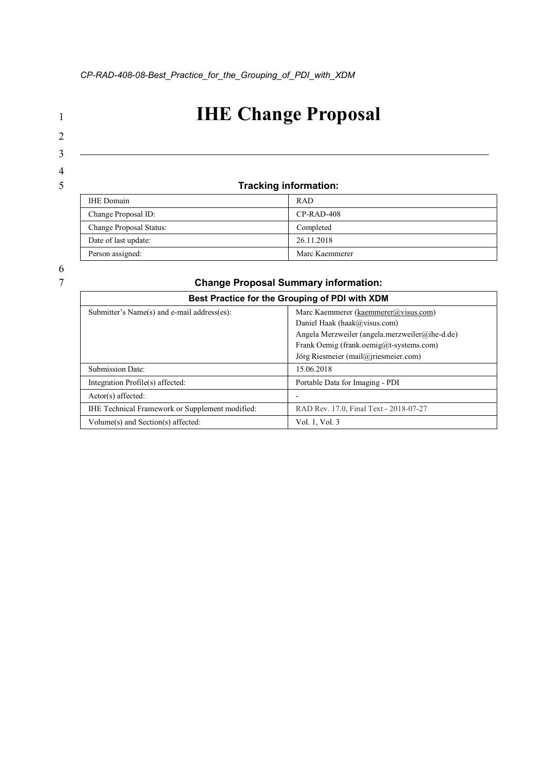# 1 **IHE Change Proposal**

# 2 3

4

# 5 Tracking information:

| <b>IHE</b> Domain       | <b>RAD</b>     |
|-------------------------|----------------|
| Change Proposal ID:     | $CP-RAD-408$   |
| Change Proposal Status: | Completed      |
| Date of last update:    | 26.11.2018     |
| Person assigned:        | Marc Kaemmerer |

## **Change Proposal Summary information:**

| Best Practice for the Grouping of PDI with XDM  |                                                |
|-------------------------------------------------|------------------------------------------------|
| Submitter's Name(s) and e-mail address(es):     | Marc Kaemmerer (kaemmerer@visus.com)           |
|                                                 | Daniel Haak (haak@visus.com)                   |
|                                                 | Angela Merzweiler (angela.merzweiler@ihe-d.de) |
|                                                 | Frank Oemig (frank.oemig@t-systems.com)        |
|                                                 | Jörg Riesmeier (mail@jriesmeier.com)           |
| Submission Date:                                | 15.06.2018                                     |
| Integration Profile(s) affected:                | Portable Data for Imaging - PDI                |
| $Actor(s)$ affected:                            |                                                |
| IHE Technical Framework or Supplement modified: | RAD Rev. 17.0, Final Text - 2018-07-27         |
| Volume(s) and Section(s) affected:              | Vol. 1, Vol. 3                                 |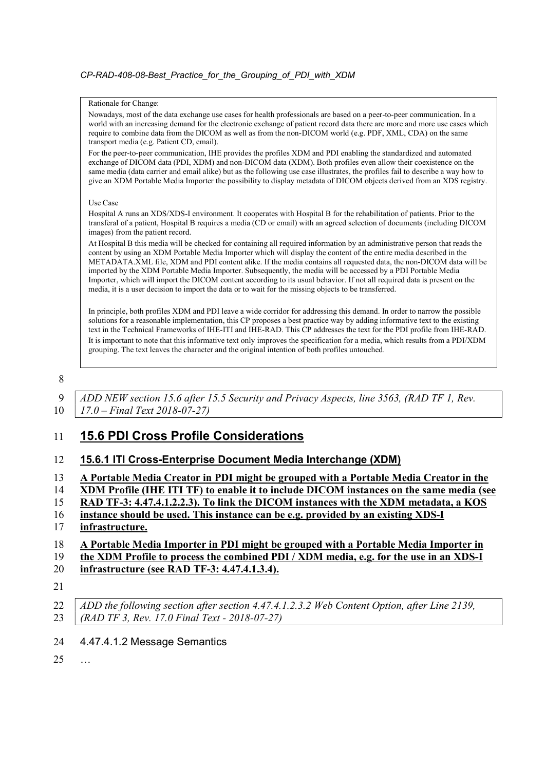#### Rationale for Change:

Nowadays, most of the data exchange use cases for health professionals are based on a peer-to-peer communication. In a world with an increasing demand for the electronic exchange of patient record data there are more and more use cases which require to combine data from the DICOM as well as from the non-DICOM world (e.g. PDF, XML, CDA) on the same transport media (e.g. Patient CD, email).

For the peer-to-peer communication, IHE provides the profiles XDM and PDI enabling the standardized and automated exchange of DICOM data (PDI, XDM) and non-DICOM data (XDM). Both profiles even allow their coexistence on the same media (data carrier and email alike) but as the following use case illustrates, the profiles fail to describe a way how to give an XDM Portable Media Importer the possibility to display metadata of DICOM objects derived from an XDS registry.

#### Use Case

Hospital A runs an XDS/XDS-I environment. It cooperates with Hospital B for the rehabilitation of patients. Prior to the transferal of a patient, Hospital B requires a media (CD or email) with an agreed selection of documents (including DICOM images) from the patient record.

At Hospital B this media will be checked for containing all required information by an administrative person that reads the content by using an XDM Portable Media Importer which will display the content of the entire media described in the METADATA.XML file, XDM and PDI content alike. If the media contains all requested data, the non-DICOM data will be imported by the XDM Portable Media Importer. Subsequently, the media will be accessed by a PDI Portable Media Importer, which will import the DICOM content according to its usual behavior. If not all required data is present on the media, it is a user decision to import the data or to wait for the missing objects to be transferred.

In principle, both profiles XDM and PDI leave a wide corridor for addressing this demand. In order to narrow the possible solutions for a reasonable implementation, this CP proposes a best practice way by adding informative text to the existing text in the Technical Frameworks of IHE-ITI and IHE-RAD. This CP addresses the text for the PDI profile from IHE-RAD. It is important to note that this informative text only improves the specification for a media, which results from a PDI/XDM grouping. The text leaves the character and the original intention of both profiles untouched.

8

9 ADD NEW section 15.6 after 15.5 Security and Privacy Aspects, line 3563, (RAD TF 1, Rev. 10 | 17.0 – Final Text 2018-07-27)

## 11 15.6 PDI Cross Profile Considerations

#### 12 15.6.1 ITI Cross-Enterprise Document Media Interchange (XDM)

| A Portable Media Creator in PDI might be grouped with a Portable Media Creator in the |
|---------------------------------------------------------------------------------------|
|---------------------------------------------------------------------------------------|

14 XDM Profile (IHE ITI TF) to enable it to include DICOM instances on the same media (see

- 15 RAD TF-3: 4.47.4.1.2.2.3). To link the DICOM instances with the XDM metadata, a KOS
- 16 instance should be used. This instance can be e.g. provided by an existing XDS-I 17 infrastructure.

#### 18 A Portable Media Importer in PDI might be grouped with a Portable Media Importer in

- 19 the XDM Profile to process the combined PDI / XDM media, e.g. for the use in an XDS-I
- 20 infrastructure (see RAD TF-3: 4.47.4.1.3.4).
- 21
- 22 ADD the following section after section 4.47.4.1.2.3.2 Web Content Option, after Line 2139, 23 (RAD TF 3, Rev. 17.0 Final Text - 2018-07-27)
- 24 4.47.4.1.2 Message Semantics
- 25 …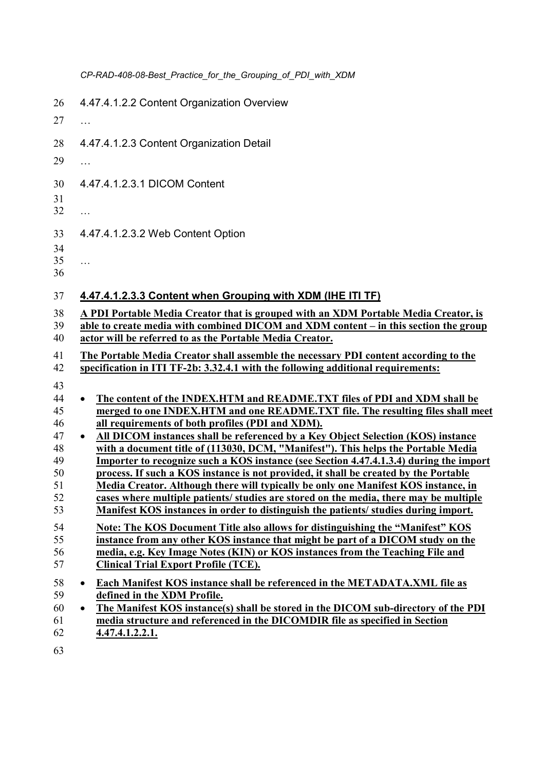|          | CP-RAD-408-08-Best_Practice_for_the_Grouping_of_PDI_with_XDM                                                                                                                       |
|----------|------------------------------------------------------------------------------------------------------------------------------------------------------------------------------------|
| 26       | 4.47.4.1.2.2 Content Organization Overview                                                                                                                                         |
| 27       | $\cdots$                                                                                                                                                                           |
| 28       | 4.47.4.1.2.3 Content Organization Detail                                                                                                                                           |
| 29       | .                                                                                                                                                                                  |
| 30       | 4.47.4.1.2.3.1 DICOM Content                                                                                                                                                       |
| 31       |                                                                                                                                                                                    |
| 32       | $\cdots$                                                                                                                                                                           |
| 33       | 4.47.4.1.2.3.2 Web Content Option                                                                                                                                                  |
| 34       |                                                                                                                                                                                    |
| 35<br>36 | $\cdots$                                                                                                                                                                           |
|          |                                                                                                                                                                                    |
| 37       | 4.47.4.1.2.3.3 Content when Grouping with XDM (IHE ITI TF)                                                                                                                         |
| 38       | A PDI Portable Media Creator that is grouped with an XDM Portable Media Creator, is                                                                                                |
| 39<br>40 | able to create media with combined DICOM and XDM content – in this section the group<br>actor will be referred to as the Portable Media Creator.                                   |
|          |                                                                                                                                                                                    |
| 41<br>42 | The Portable Media Creator shall assemble the necessary PDI content according to the<br>specification in ITI TF-2b: 3.32.4.1 with the following additional requirements:           |
| 43       |                                                                                                                                                                                    |
| 44       | The content of the INDEX.HTM and README.TXT files of PDI and XDM shall be<br>$\bullet$                                                                                             |
| 45       | merged to one INDEX.HTM and one README.TXT file. The resulting files shall meet                                                                                                    |
| 46       | all requirements of both profiles (PDI and XDM).                                                                                                                                   |
| 47<br>48 | All DICOM instances shall be referenced by a Key Object Selection (KOS) instance<br>$\bullet$<br>with a document title of (113030, DCM, "Manifest"). This helps the Portable Media |
| 49       | Importer to recognize such a KOS instance (see Section 4.47.4.1.3.4) during the import                                                                                             |
| 50       | process. If such a KOS instance is not provided, it shall be created by the Portable                                                                                               |
| 51       | Media Creator. Although there will typically be only one Manifest KOS instance, in                                                                                                 |
| 52<br>53 | cases where multiple patients/ studies are stored on the media, there may be multiple<br>Manifest KOS instances in order to distinguish the patients/studies during import.        |
| 54       | Note: The KOS Document Title also allows for distinguishing the "Manifest" KOS                                                                                                     |
| 55       | instance from any other KOS instance that might be part of a DICOM study on the                                                                                                    |
| 56<br>57 | media, e.g. Key Image Notes (KIN) or KOS instances from the Teaching File and<br><b>Clinical Trial Export Profile (TCE).</b>                                                       |
|          |                                                                                                                                                                                    |
| 58<br>59 | Each Manifest KOS instance shall be referenced in the METADATA. XML file as<br>$\bullet$<br>defined in the XDM Profile.                                                            |
| 60       | The Manifest KOS instance(s) shall be stored in the DICOM sub-directory of the PDI<br>$\bullet$                                                                                    |
| 61       | media structure and referenced in the DICOMDIR file as specified in Section                                                                                                        |
| 62       | 4.47.4.1.2.2.1.                                                                                                                                                                    |

63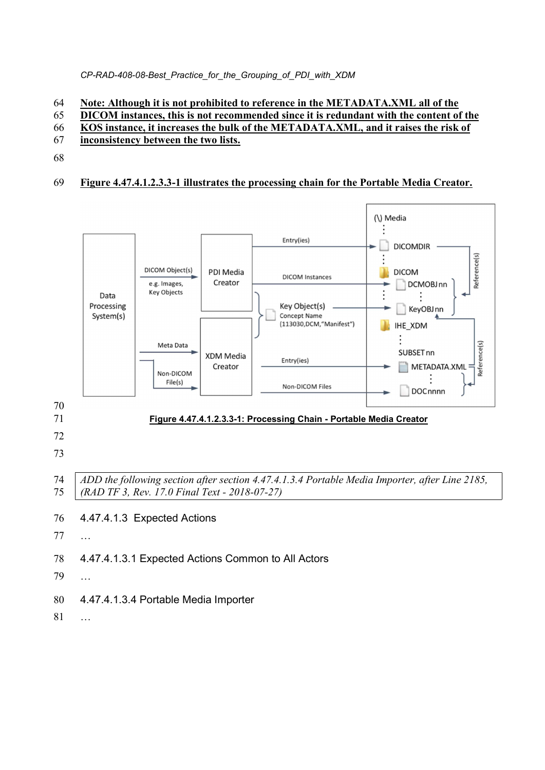#### CP-RAD-408-08-Best\_Practice\_for\_the\_Grouping\_of\_PDI\_with\_XDM

#### Note: Although it is not prohibited to reference in the METADATA.XML all of the

- DICOM instances, this is not recommended since it is redundant with the content of the
- KOS instance, it increases the bulk of the METADATA.XML, and it raises the risk of
- inconsistency between the two lists.
- 

## Figure 4.47.4.1.2.3.3-1 illustrates the processing chain for the Portable Media Creator.